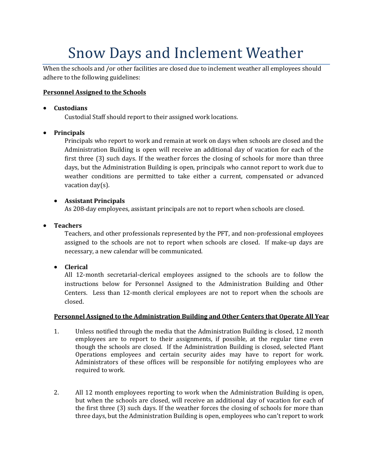# Snow Days and Inclement Weather

When the schools and /or other facilities are closed due to inclement weather all employees should adhere to the following guidelines:

#### **Personnel Assigned to the Schools**

#### **Custodians**

Custodial Staff should report to their assigned work locations.

#### **Principals**

Principals who report to work and remain at work on days when schools are closed and the Administration Building is open will receive an additional day of vacation for each of the first three (3) such days. If the weather forces the closing of schools for more than three days, but the Administration Building is open, principals who cannot report to work due to weather conditions are permitted to take either a current, compensated or advanced vacation day(s).

### **Assistant Principals**

As 208-day employees, assistant principals are not to report when schools are closed.

**Teachers**

Teachers, and other professionals represented by the PFT, and non-professional employees assigned to the schools are not to report when schools are closed. If make-up days are necessary, a new calendar will be communicated.

## **Clerical**

All 12-month secretarial-clerical employees assigned to the schools are to follow the instructions below for Personnel Assigned to the Administration Building and Other Centers. Less than 12-month clerical employees are not to report when the schools are closed.

#### **Personnel Assigned to the Administration Building and Other Centers that Operate All Year**

- 1. Unless notified through the media that the Administration Building is closed, 12 month employees are to report to their assignments, if possible, at the regular time even though the schools are closed. If the Administration Building is closed, selected Plant Operations employees and certain security aides may have to report for work. Administrators of these offices will be responsible for notifying employees who are required to work.
- 2. All 12 month employees reporting to work when the Administration Building is open, but when the schools are closed, will receive an additional day of vacation for each of the first three (3) such days. If the weather forces the closing of schools for more than three days, but the Administration Building is open, employees who can't report to work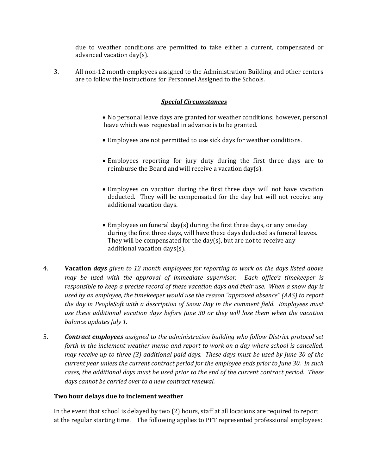due to weather conditions are permitted to take either a current, compensated or advanced vacation day(s).

3. All non-12 month employees assigned to the Administration Building and other centers are to follow the instructions for Personnel Assigned to the Schools.

#### *Special Circumstances*

- No personal leave days are granted for weather conditions; however, personal leave which was requested in advance is to be granted.
- Employees are not permitted to use sick days for weather conditions.
- Employees reporting for jury duty during the first three days are to reimburse the Board and will receive a vacation day(s).
- Employees on vacation during the first three days will not have vacation deducted. They will be compensated for the day but will not receive any additional vacation days.
- Employees on funeral day(s) during the first three days, or any one day during the first three days, will have these days deducted as funeral leaves. They will be compensated for the day(s), but are not to receive any additional vacation days(s).
- 4. **Vacation** *days given to 12 month employees for reporting to work on the days listed above may be used with the approval of immediate supervisor. Each office's timekeeper is responsible to keep a precise record of these vacation days and their use. When a snow day is used by an employee, the timekeeper would use the reason "approved absence" (AAS) to report the day in PeopleSoft with a description of Snow Day in the comment field. Employees must use these additional vacation days before June 30 or they will lose them when the vacation balance updates July 1.*
- 5. *Contract employees assigned to the administration building who follow District protocol set forth in the inclement weather memo and report to work on a day where school is cancelled, may receive up to three (3) additional paid days. These days must be used by June 30 of the current year unless the current contract period for the employee ends prior to June 30. In such cases, the additional days must be used prior to the end of the current contract period. These days cannot be carried over to a new contract renewal.*

#### **Two hour delays due to inclement weather**

In the event that school is delayed by two (2) hours, staff at all locations are required to report at the regular starting time. The following applies to PFT represented professional employees: